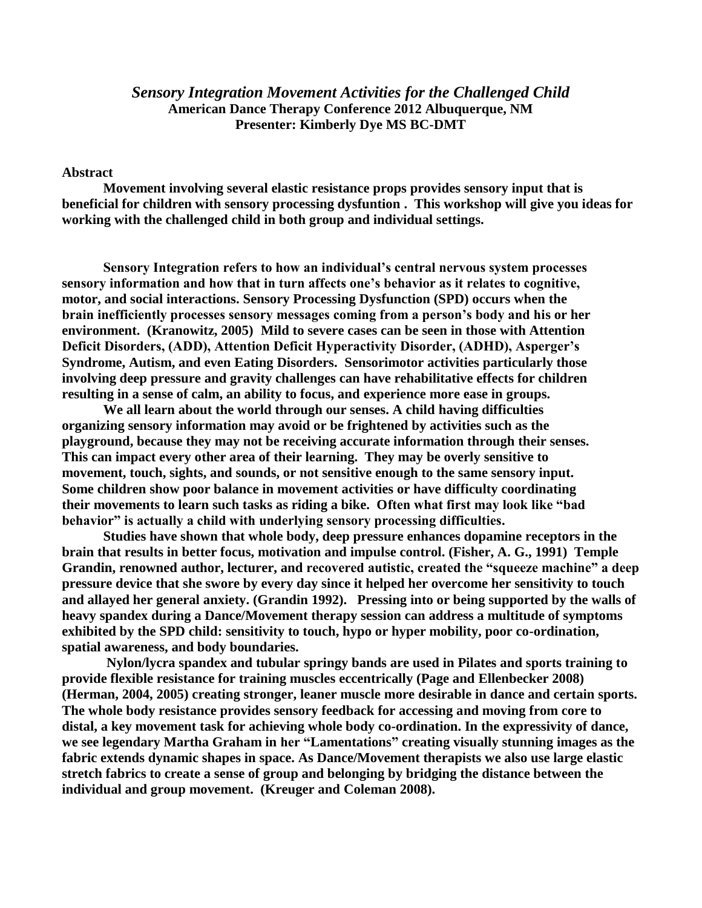## *Sensory Integration Movement Activities for the Challenged Child* **American Dance Therapy Conference 2012 Albuquerque, NM Presenter: Kimberly Dye MS BC-DMT**

## **Abstract**

**Movement involving several elastic resistance props provides sensory input that is beneficial for children with sensory processing dysfuntion . This workshop will give you ideas for working with the challenged child in both group and individual settings.** 

**Sensory Integration refers to how an individual's central nervous system processes sensory information and how that in turn affects one's behavior as it relates to cognitive, motor, and social interactions. Sensory Processing Dysfunction (SPD) occurs when the brain inefficiently processes sensory messages coming from a person's body and his or her environment. (Kranowitz, 2005) Mild to severe cases can be seen in those with Attention Deficit Disorders, (ADD), Attention Deficit Hyperactivity Disorder, (ADHD), Asperger's Syndrome, Autism, and even Eating Disorders. Sensorimotor activities particularly those involving deep pressure and gravity challenges can have rehabilitative effects for children resulting in a sense of calm, an ability to focus, and experience more ease in groups.** 

**We all learn about the world through our senses. A child having difficulties organizing sensory information may avoid or be frightened by activities such as the playground, because they may not be receiving accurate information through their senses. This can impact every other area of their learning. They may be overly sensitive to movement, touch, sights, and sounds, or not sensitive enough to the same sensory input. Some children show poor balance in movement activities or have difficulty coordinating their movements to learn such tasks as riding a bike. Often what first may look like "bad behavior" is actually a child with underlying sensory processing difficulties.**

**Studies have shown that whole body, deep pressure enhances dopamine receptors in the brain that results in better focus, motivation and impulse control. (Fisher, A. G., 1991) Temple Grandin, renowned author, lecturer, and recovered autistic, created the "squeeze machine" a deep pressure device that she swore by every day since it helped her overcome her sensitivity to touch and allayed her general anxiety. (Grandin 1992). Pressing into or being supported by the walls of heavy spandex during a Dance/Movement therapy session can address a multitude of symptoms exhibited by the SPD child: sensitivity to touch, hypo or hyper mobility, poor co-ordination, spatial awareness, and body boundaries.**

**Nylon/lycra spandex and tubular springy bands are used in Pilates and sports training to provide flexible resistance for training muscles eccentrically (Page and Ellenbecker 2008) (Herman, 2004, 2005) creating stronger, leaner muscle more desirable in dance and certain sports. The whole body resistance provides sensory feedback for accessing and moving from core to distal, a key movement task for achieving whole body co-ordination. In the expressivity of dance, we see legendary Martha Graham in her "Lamentations" creating visually stunning images as the fabric extends dynamic shapes in space. As Dance/Movement therapists we also use large elastic stretch fabrics to create a sense of group and belonging by bridging the distance between the individual and group movement. (Kreuger and Coleman 2008).**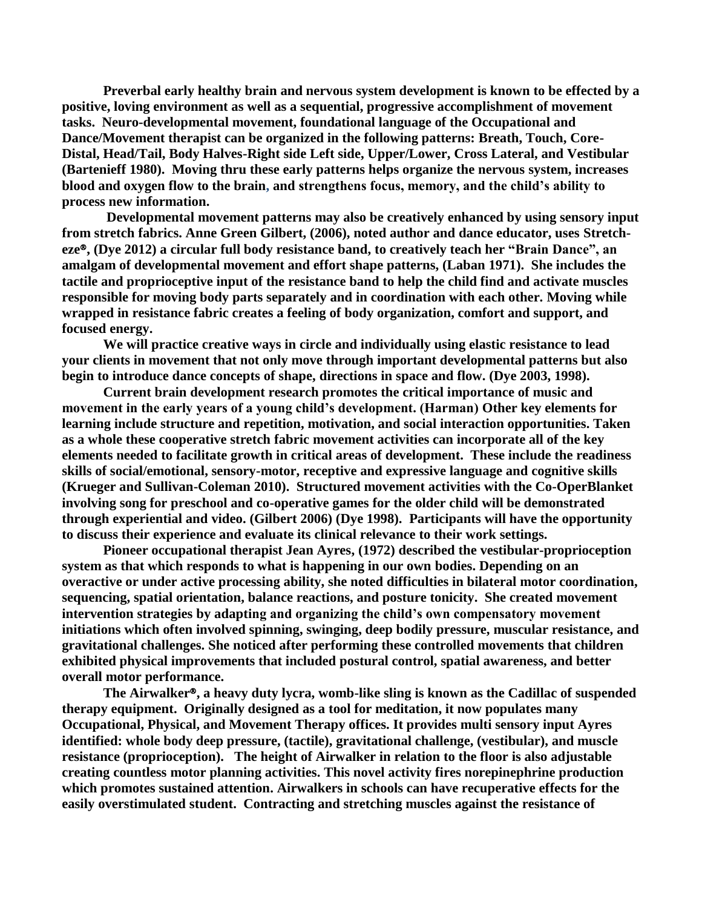**Preverbal early healthy brain and nervous system development is known to be effected by a positive, loving environment as well as a sequential, progressive accomplishment of movement tasks. Neuro-developmental movement, foundational language of the Occupational and Dance/Movement therapist can be organized in the following patterns: Breath, Touch, Core-Distal, Head/Tail, Body Halves-Right side Left side, Upper/Lower, Cross Lateral, and Vestibular (Bartenieff 1980). Moving thru these early patterns helps organize the nervous system, increases blood and oxygen flow to the brain, and strengthens focus, memory, and the child's ability to process new information.**

**Developmental movement patterns may also be creatively enhanced by using sensory input from stretch fabrics. Anne Green Gilbert, (2006), noted author and dance educator, uses Stretcheze**®**, (Dye 2012) a circular full body resistance band, to creatively teach her "Brain Dance", an amalgam of developmental movement and effort shape patterns, (Laban 1971). She includes the tactile and proprioceptive input of the resistance band to help the child find and activate muscles responsible for moving body parts separately and in coordination with each other. Moving while wrapped in resistance fabric creates a feeling of body organization, comfort and support, and focused energy.** 

**We will practice creative ways in circle and individually using elastic resistance to lead your clients in movement that not only move through important developmental patterns but also begin to introduce dance concepts of shape, directions in space and flow. (Dye 2003, 1998).** 

**Current brain development research promotes the critical importance of music and movement in the early years of a young child's development. (Harman) Other key elements for learning include structure and repetition, motivation, and social interaction opportunities. Taken as a whole these cooperative stretch fabric movement activities can incorporate all of the key elements needed to facilitate growth in critical areas of development. These include the readiness skills of social/emotional, sensory-motor, receptive and expressive language and cognitive skills (Krueger and Sullivan-Coleman 2010). Structured movement activities with the Co-OperBlanket involving song for preschool and co-operative games for the older child will be demonstrated through experiential and video. (Gilbert 2006) (Dye 1998). Participants will have the opportunity to discuss their experience and evaluate its clinical relevance to their work settings.** 

**Pioneer occupational therapist Jean Ayres, (1972) described the vestibular-proprioception system as that which responds to what is happening in our own bodies. Depending on an overactive or under active processing ability, she noted difficulties in bilateral motor coordination, sequencing, spatial orientation, balance reactions, and posture tonicity. She created movement intervention strategies by adapting and organizing the child's own compensatory movement initiations which often involved spinning, swinging, deep bodily pressure, muscular resistance, and gravitational challenges. She noticed after performing these controlled movements that children exhibited physical improvements that included postural control, spatial awareness, and better overall motor performance.** 

**The Airwalker**®**, a heavy duty lycra, womb-like sling is known as the Cadillac of suspended therapy equipment. Originally designed as a tool for meditation, it now populates many Occupational, Physical, and Movement Therapy offices. It provides multi sensory input Ayres identified: whole body deep pressure, (tactile), gravitational challenge, (vestibular), and muscle resistance (proprioception). The height of Airwalker in relation to the floor is also adjustable creating countless motor planning activities. This novel activity fires norepinephrine production which promotes sustained attention. Airwalkers in schools can have recuperative effects for the easily overstimulated student. Contracting and stretching muscles against the resistance of**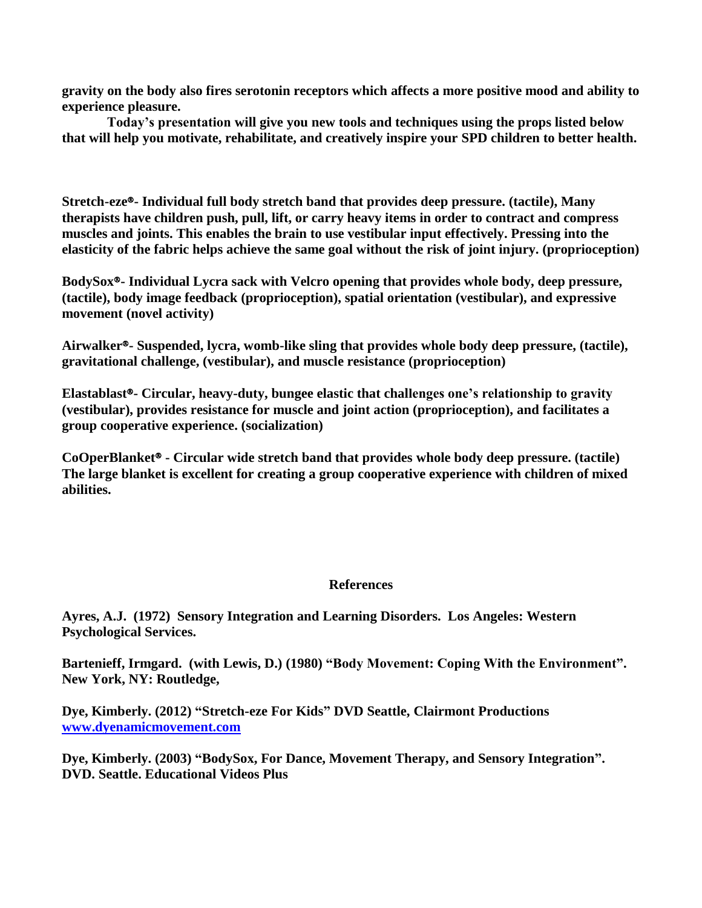**gravity on the body also fires serotonin receptors which affects a more positive mood and ability to experience pleasure.**

**Today's presentation will give you new tools and techniques using the props listed below that will help you motivate, rehabilitate, and creatively inspire your SPD children to better health.** 

**Stretch-eze**®**- Individual full body stretch band that provides deep pressure. (tactile), Many therapists have children push, pull, lift, or carry heavy items in order to contract and compress muscles and joints. This enables the brain to use vestibular input effectively. Pressing into the elasticity of the fabric helps achieve the same goal without the risk of joint injury. (proprioception)** 

**BodySox**®**- Individual Lycra sack with Velcro opening that provides whole body, deep pressure, (tactile), body image feedback (proprioception), spatial orientation (vestibular), and expressive movement (novel activity)** 

**Airwalker**®**- Suspended, lycra, womb-like sling that provides whole body deep pressure, (tactile), gravitational challenge, (vestibular), and muscle resistance (proprioception)**

**Elastablast**®**- Circular, heavy-duty, bungee elastic that challenges one's relationship to gravity (vestibular), provides resistance for muscle and joint action (proprioception), and facilitates a group cooperative experience. (socialization)**

**CoOperBlanket**® **- Circular wide stretch band that provides whole body deep pressure. (tactile) The large blanket is excellent for creating a group cooperative experience with children of mixed abilities.**

## **References**

**Ayres, A.J. (1972) Sensory Integration and Learning Disorders. Los Angeles: Western Psychological Services.**

**Bartenieff, Irmgard. (with Lewis, D.) (1980) "Body Movement: Coping With the Environment". New York, NY: Routledge,** 

**Dye, Kimberly. (2012) "Stretch-eze For Kids" DVD Seattle, Clairmont Productions [www.dyenamicmovement.com](http://www.dyenamicmovement.com/)**

**Dye, Kimberly. (2003) "BodySox, For Dance, Movement Therapy, and Sensory Integration". DVD. Seattle. Educational Videos Plus**